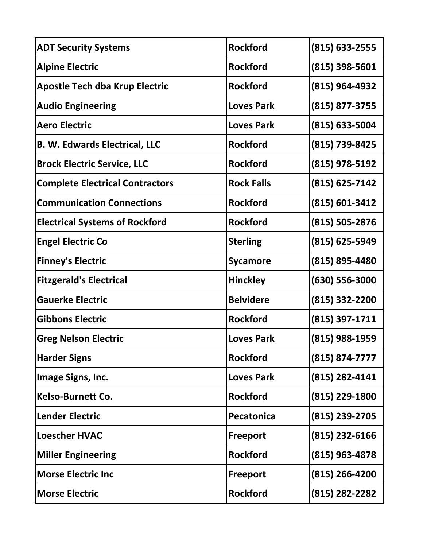| <b>Rockford</b>   | $(815) 633 - 2555$ |
|-------------------|--------------------|
| <b>Rockford</b>   | $(815)$ 398-5601   |
| <b>Rockford</b>   | $(815)$ 964-4932   |
| <b>Loves Park</b> | (815) 877-3755     |
| <b>Loves Park</b> | $(815)$ 633-5004   |
| <b>Rockford</b>   | (815) 739-8425     |
| <b>Rockford</b>   | $(815)$ 978-5192   |
| <b>Rock Falls</b> | $(815)$ 625-7142   |
| <b>Rockford</b>   | $(815) 601 - 3412$ |
| <b>Rockford</b>   | $(815) 505 - 2876$ |
| <b>Sterling</b>   | $(815)$ 625-5949   |
| <b>Sycamore</b>   | $(815) 895 - 4480$ |
| <b>Hinckley</b>   | $(630) 556 - 3000$ |
| <b>Belvidere</b>  | $(815)$ 332-2200   |
| <b>Rockford</b>   | $(815)$ 397-1711   |
| <b>Loves Park</b> | (815) 988-1959     |
| <b>Rockford</b>   | $(815) 874 - 7777$ |
| <b>Loves Park</b> | $(815)$ 282-4141   |
| <b>Rockford</b>   | $(815)$ 229-1800   |
| Pecatonica        | (815) 239-2705     |
| <b>Freeport</b>   | $(815)$ 232-6166   |
| <b>Rockford</b>   | $(815)$ 963-4878   |
| <b>Freeport</b>   | $(815)$ 266-4200   |
| <b>Rockford</b>   | $(815)$ 282-2282   |
|                   |                    |